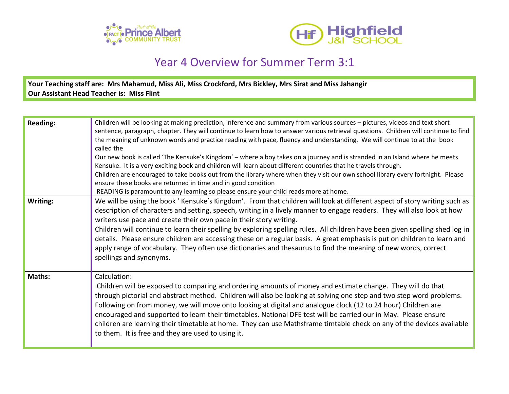



## Year 4 Overview for Summer Term 3:1

**Your Teaching staff are: Mrs Mahamud, Miss Ali, Miss Crockford, Mrs Bickley, Mrs Sirat and Miss Jahangir Our Assistant Head Teacher is: Miss Flint**

| <b>Reading:</b> | Children will be looking at making prediction, inference and summary from various sources - pictures, videos and text short<br>sentence, paragraph, chapter. They will continue to learn how to answer various retrieval questions. Children will continue to find<br>the meaning of unknown words and practice reading with pace, fluency and understanding. We will continue to at the book<br>called the<br>Our new book is called 'The Kensuke's Kingdom' - where a boy takes on a journey and is stranded in an Island where he meets<br>Kensuke. It is a very exciting book and children will learn about different countries that he travels through.<br>Children are encouraged to take books out from the library where when they visit our own school library every fortnight. Please<br>ensure these books are returned in time and in good condition<br>READING is paramount to any learning so please ensure your child reads more at home. |
|-----------------|----------------------------------------------------------------------------------------------------------------------------------------------------------------------------------------------------------------------------------------------------------------------------------------------------------------------------------------------------------------------------------------------------------------------------------------------------------------------------------------------------------------------------------------------------------------------------------------------------------------------------------------------------------------------------------------------------------------------------------------------------------------------------------------------------------------------------------------------------------------------------------------------------------------------------------------------------------|
| Writing:        | We will be using the book 'Kensuke's Kingdom'. From that children will look at different aspect of story writing such as<br>description of characters and setting, speech, writing in a lively manner to engage readers. They will also look at how<br>writers use pace and create their own pace in their story writing.<br>Children will continue to learn their spelling by exploring spelling rules. All children have been given spelling shed log in<br>details. Please ensure children are accessing these on a regular basis. A great emphasis is put on children to learn and<br>apply range of vocabulary. They often use dictionaries and thesaurus to find the meaning of new words, correct<br>spellings and synonyms.                                                                                                                                                                                                                      |
| Maths:          | Calculation:<br>Children will be exposed to comparing and ordering amounts of money and estimate change. They will do that<br>through pictorial and abstract method. Children will also be looking at solving one step and two step word problems.<br>Following on from money, we will move onto looking at digital and analogue clock (12 to 24 hour) Children are<br>encouraged and supported to learn their timetables. National DFE test will be carried our in May. Please ensure<br>children are learning their timetable at home. They can use Mathsframe timtable check on any of the devices available<br>to them. It is free and they are used to using it.                                                                                                                                                                                                                                                                                    |